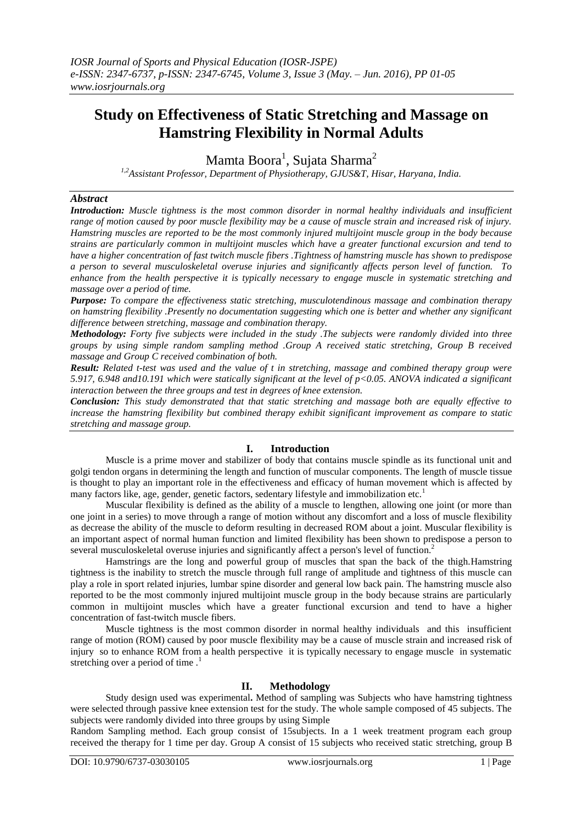# **Study on Effectiveness of Static Stretching and Massage on Hamstring Flexibility in Normal Adults**

Mamta Boora $^1$ , Sujata Sharma $^2$ 

*1,2Assistant Professor, Department of Physiotherapy, GJUS&T, Hisar, Haryana, India.*

#### *Abstract*

*Introduction: Muscle tightness is the most common disorder in normal healthy individuals and insufficient range of motion caused by poor muscle flexibility may be a cause of muscle strain and increased risk of injury. Hamstring muscles are reported to be the most commonly injured multijoint muscle group in the body because strains are particularly common in multijoint muscles which have a greater functional excursion and tend to have a higher concentration of fast twitch muscle fibers .Tightness of hamstring muscle has shown to predispose a person to several musculoskeletal overuse injuries and significantly affects person level of function. To enhance from the health perspective it is typically necessary to engage muscle in systematic stretching and massage over a period of time.*

*Purpose: To compare the effectiveness static stretching, musculotendinous massage and combination therapy on hamstring flexibility .Presently no documentation suggesting which one is better and whether any significant difference between stretching, massage and combination therapy.* 

*Methodology: Forty five subjects were included in the study .The subjects were randomly divided into three groups by using simple random sampling method .Group A received static stretching, Group B received massage and Group C received combination of both.* 

*Result: Related t-test was used and the value of t in stretching, massage and combined therapy group were 5.917, 6.948 and10.191 which were statically significant at the level of p<0.05. ANOVA indicated a significant interaction between the three groups and test in degrees of knee extension.*

*Conclusion: This study demonstrated that that static stretching and massage both are equally effective to increase the hamstring flexibility but combined therapy exhibit significant improvement as compare to static stretching and massage group.*

# **I. Introduction**

Muscle is a prime mover and stabilizer of body that contains muscle spindle as its functional unit and golgi tendon organs in determining the length and function of muscular components. The length of muscle tissue is thought to play an important role in the effectiveness and efficacy of human movement which is affected by many factors like, age, gender, genetic factors, sedentary lifestyle and immobilization etc.<sup>1</sup>

Muscular flexibility is defined as the ability of a muscle to lengthen, allowing one joint (or more than one joint in a series) to move through a range of motion without any discomfort and a loss of muscle flexibility as decrease the ability of the muscle to deform resulting in decreased ROM about a joint. Muscular flexibility is an important aspect of normal human function and limited flexibility has been shown to predispose a person to several musculoskeletal overuse injuries and significantly affect a person's level of function.<sup>2</sup>

Hamstrings are the long and powerful group of muscles that span the back of the thigh.Hamstring tightness is the inability to stretch the muscle through full range of amplitude and tightness of this muscle can play a role in sport related injuries, lumbar spine disorder and general low back pain. The hamstring muscle also reported to be the most commonly injured multijoint muscle group in the body because strains are particularly common in multijoint muscles which have a greater functional excursion and tend to have a higher concentration of fast-twitch muscle fibers.

Muscle tightness is the most common disorder in normal healthy individuals and this insufficient range of motion (ROM) caused by poor muscle flexibility may be a cause of muscle strain and increased risk of injury so to enhance ROM from a health perspective it is typically necessary to engage muscle in systematic stretching over a period of time.<sup>1</sup>

## **II. Methodology**

Study design used was experimental**.** Method of sampling was Subjects who have hamstring tightness were selected through passive knee extension test for the study. The whole sample composed of 45 subjects. The subjects were randomly divided into three groups by using Simple

Random Sampling method. Each group consist of 15subjects. In a 1 week treatment program each group received the therapy for 1 time per day. Group A consist of 15 subjects who received static stretching, group B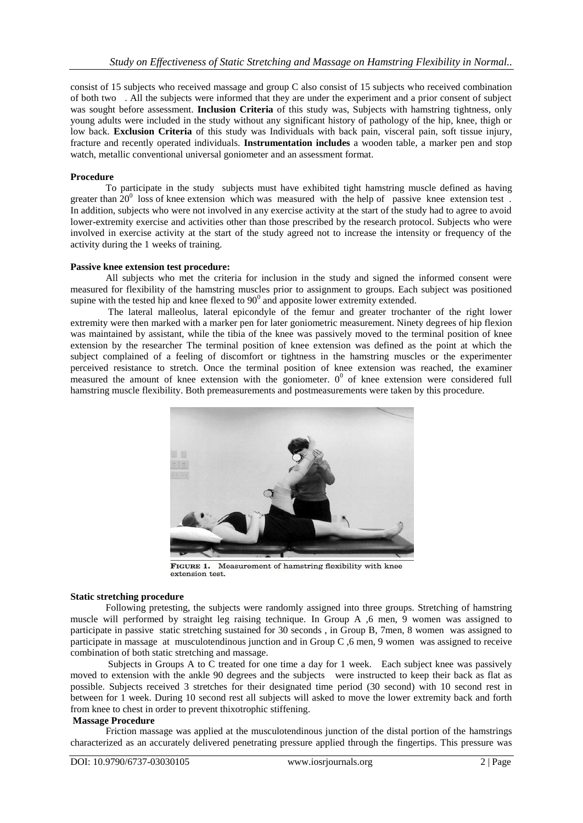consist of 15 subjects who received massage and group C also consist of 15 subjects who received combination of both two . All the subjects were informed that they are under the experiment and a prior consent of subject was sought before assessment. **Inclusion Criteria** of this study was, Subjects with hamstring tightness, only young adults were included in the study without any significant history of pathology of the hip, knee, thigh or low back. **Exclusion Criteria** of this study was Individuals with back pain, visceral pain, soft tissue injury, fracture and recently operated individuals. **Instrumentation includes** a wooden table, a marker pen and stop watch, metallic conventional universal goniometer and an assessment format.

## **Procedure**

To participate in the study subjects must have exhibited tight hamstring muscle defined as having greater than  $20^0$  loss of knee extension which was measured with the help of passive knee extension test. In addition, subjects who were not involved in any exercise activity at the start of the study had to agree to avoid lower-extremity exercise and activities other than those prescribed by the research protocol. Subjects who were involved in exercise activity at the start of the study agreed not to increase the intensity or frequency of the activity during the 1 weeks of training.

## **Passive knee extension test procedure:**

All subjects who met the criteria for inclusion in the study and signed the informed consent were measured for flexibility of the hamstring muscles prior to assignment to groups. Each subject was positioned supine with the tested hip and knee flexed to  $90^{\circ}$  and apposite lower extremity extended.

The lateral malleolus, lateral epicondyle of the femur and greater trochanter of the right lower extremity were then marked with a marker pen for later goniometric measurement. Ninety degrees of hip flexion was maintained by assistant, while the tibia of the knee was passively moved to the terminal position of knee extension by the researcher The terminal position of knee extension was defined as the point at which the subject complained of a feeling of discomfort or tightness in the hamstring muscles or the experimenter perceived resistance to stretch. Once the terminal position of knee extension was reached, the examiner measured the amount of knee extension with the goniometer.  $0^0$  of knee extension were considered full hamstring muscle flexibility. Both premeasurements and postmeasurements were taken by this procedure.



Measurement of hamstring flexibility with knee FIGURE 1. extension test.

#### **Static stretching procedure**

Following pretesting, the subjects were randomly assigned into three groups. Stretching of hamstring muscle will performed by straight leg raising technique. In Group A ,6 men, 9 women was assigned to participate in passive static stretching sustained for 30 seconds , in Group B, 7men, 8 women was assigned to participate in massage at musculotendinous junction and in Group C ,6 men, 9 women was assigned to receive combination of both static stretching and massage.

Subjects in Groups A to C treated for one time a day for 1 week. Each subject knee was passively moved to extension with the ankle 90 degrees and the subjects were instructed to keep their back as flat as possible. Subjects received 3 stretches for their designated time period (30 second) with 10 second rest in between for 1 week. During 10 second rest all subjects will asked to move the lower extremity back and forth from knee to chest in order to prevent thixotrophic stiffening.

## **Massage Procedure**

Friction massage was applied at the musculotendinous junction of the distal portion of the hamstrings characterized as an accurately delivered penetrating pressure applied through the fingertips. This pressure was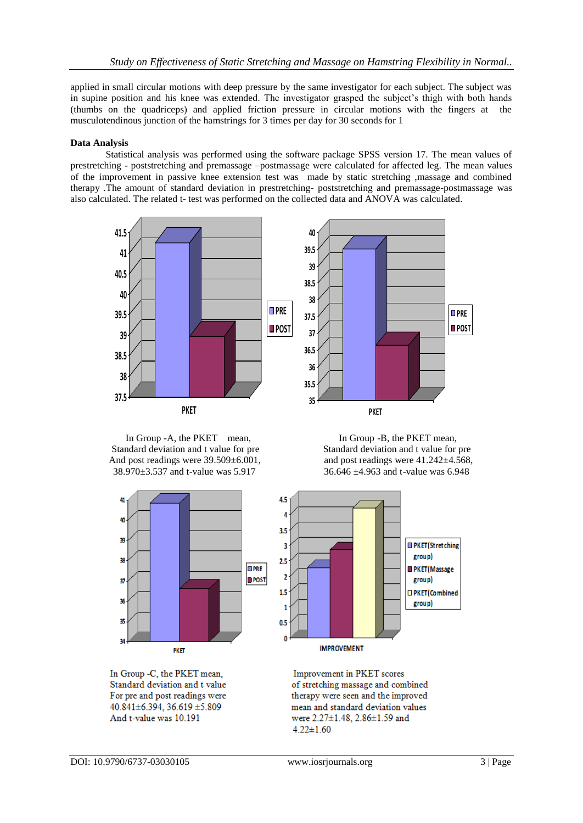applied in small circular motions with deep pressure by the same investigator for each subject. The subject was in supine position and his knee was extended. The investigator grasped the subject's thigh with both hands (thumbs on the quadriceps) and applied friction pressure in circular motions with the fingers at the musculotendinous junction of the hamstrings for 3 times per day for 30 seconds for 1

## **Data Analysis**

Statistical analysis was performed using the software package SPSS version 17. The mean values of prestretching - poststretching and premassage –postmassage were calculated for affected leg. The mean values of the improvement in passive knee extension test was made by static stretching ,massage and combined therapy .The amount of standard deviation in prestretching- poststretching and premassage-postmassage was also calculated. The related t- test was performed on the collected data and ANOVA was calculated.





In Group -A, the PKET mean, In Group -B, the PKET mean,



Standard deviation and t value for pre Standard deviation and t value for pre And post readings were 39.509±6.001, and post readings were 41.242±4.568, 38.970±3.537 and t-value was 5.917 36.646 ±4.963 and t-value was 6.948



In Group -C, the PKET mean, Standard deviation and t value For pre and post readings were  $40.841 \pm 6.394$ ,  $36.619 \pm 5.809$ And t-value was 10.191

Improvement in PKET scores of stretching massage and combined therapy were seen and the improved mean and standard deviation values were 2.27±1.48, 2.86±1.59 and  $4.22 \pm 1.60$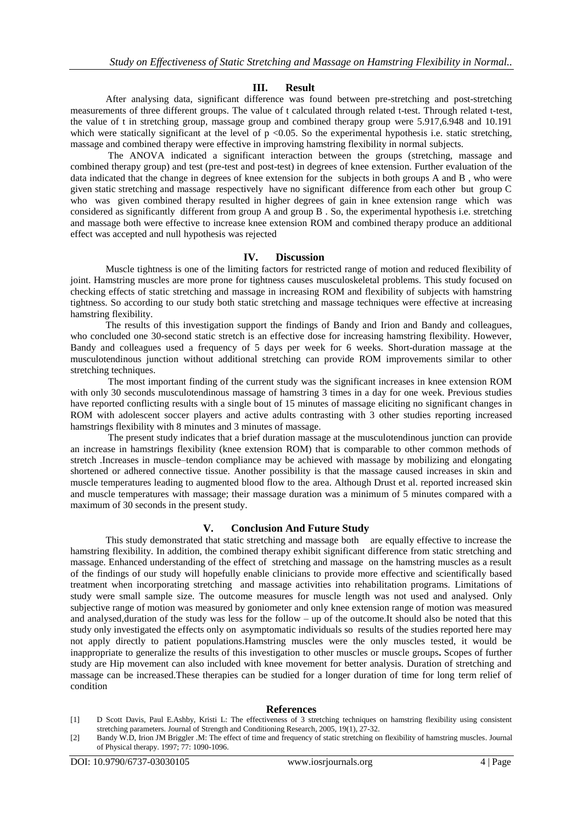## **III. Result**

After analysing data, significant difference was found between pre-stretching and post-stretching measurements of three different groups. The value of t calculated through related t-test. Through related t-test, the value of t in stretching group, massage group and combined therapy group were 5.917,6.948 and 10.191 which were statically significant at the level of  $p < 0.05$ . So the experimental hypothesis i.e. static stretching, massage and combined therapy were effective in improving hamstring flexibility in normal subjects.

The ANOVA indicated a significant interaction between the groups (stretching, massage and combined therapy group) and test (pre-test and post-test) in degrees of knee extension. Further evaluation of the data indicated that the change in degrees of knee extension for the subjects in both groups A and B , who were given static stretching and massage respectively have no significant difference from each other but group C who was given combined therapy resulted in higher degrees of gain in knee extension range which was considered as significantly different from group A and group B . So, the experimental hypothesis i.e. stretching and massage both were effective to increase knee extension ROM and combined therapy produce an additional effect was accepted and null hypothesis was rejected

#### **IV. Discussion**

Muscle tightness is one of the limiting factors for restricted range of motion and reduced flexibility of joint. Hamstring muscles are more prone for tightness causes musculoskeletal problems. This study focused on checking effects of static stretching and massage in increasing ROM and flexibility of subjects with hamstring tightness. So according to our study both static stretching and massage techniques were effective at increasing hamstring flexibility.

The results of this investigation support the findings of Bandy and Irion and Bandy and colleagues, who concluded one 30-second static stretch is an effective dose for increasing hamstring flexibility. However, Bandy and colleagues used a frequency of 5 days per week for 6 weeks. Short-duration massage at the musculotendinous junction without additional stretching can provide ROM improvements similar to other stretching techniques.

The most important finding of the current study was the significant increases in knee extension ROM with only 30 seconds musculotendinous massage of hamstring 3 times in a day for one week. Previous studies have reported conflicting results with a single bout of 15 minutes of massage eliciting no significant changes in ROM with adolescent soccer players and active adults contrasting with 3 other studies reporting increased hamstrings flexibility with 8 minutes and 3 minutes of massage.

The present study indicates that a brief duration massage at the musculotendinous junction can provide an increase in hamstrings flexibility (knee extension ROM) that is comparable to other common methods of stretch .Increases in muscle–tendon compliance may be achieved with massage by mobilizing and elongating shortened or adhered connective tissue. Another possibility is that the massage caused increases in skin and muscle temperatures leading to augmented blood flow to the area. Although Drust et al. reported increased skin and muscle temperatures with massage; their massage duration was a minimum of 5 minutes compared with a maximum of 30 seconds in the present study.

# **V. Conclusion And Future Study**

This study demonstrated that static stretching and massage both are equally effective to increase the hamstring flexibility. In addition, the combined therapy exhibit significant difference from static stretching and massage. Enhanced understanding of the effect of stretching and massage on the hamstring muscles as a result of the findings of our study will hopefully enable clinicians to provide more effective and scientifically based treatment when incorporating stretching and massage activities into rehabilitation programs. Limitations of study were small sample size. The outcome measures for muscle length was not used and analysed. Only subjective range of motion was measured by goniometer and only knee extension range of motion was measured and analysed,duration of the study was less for the follow – up of the outcome.It should also be noted that this study only investigated the effects only on asymptomatic individuals so results of the studies reported here may not apply directly to patient populations.Hamstring muscles were the only muscles tested, it would be inappropriate to generalize the results of this investigation to other muscles or muscle groups**.** Scopes of further study are Hip movement can also included with knee movement for better analysis. Duration of stretching and massage can be increased.These therapies can be studied for a longer duration of time for long term relief of condition

#### **References**

- [1] D Scott Davis, Paul E.Ashby, Kristi L: The effectiveness of 3 stretching techniques on hamstring flexibility using consistent stretching parameters. Journal of Strength and Conditioning Research, 2005, 19(1), 27-32.
- [2] Bandy W.D, Irion JM Briggler .M: The effect of time and frequency of static stretching on flexibility of hamstring muscles. Journal of Physical therapy. 1997; 77: 1090-1096.